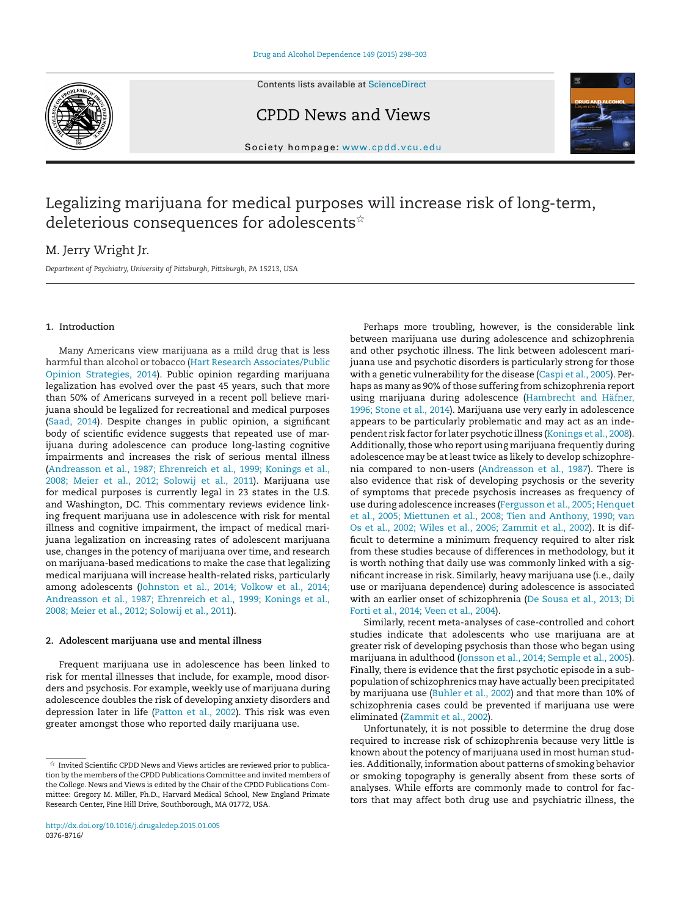Contents lists available at [ScienceDirect](http://www.sciencedirect.com/science/journal/03768716)



CPDD News and Views



Society hompage: [www.cpdd.vcu.edu](http://www.cpdd.vcu.edu)

# Legalizing marijuana for medical purposes will increase risk of long-term, deleterious consequences for adolescents ${}^{\scriptscriptstyle \star}$

## M. Jerry Wright Jr.

*Department of Psychiatry, University of Pittsburgh, Pittsburgh, PA 15213, USA*

## **1. Introduction**

Many Americans view marijuana as a mild drug that is less harmful than alcohol or tobacco ([Hart Research Associates/Public](#page-4-0) [Opinion Strategies, 2014\).](#page-4-0) Public opinion regarding marijuana legalization has evolved over the past 45 years, such that more than 50% of Americans surveyed in a recent poll believe marijuana should be legalized for recreational and medical purposes [\(Saad, 2014\).](#page-5-0) Despite changes in public opinion, a significant body of scientific evidence suggests that repeated use of marijuana during adolescence can produce long-lasting cognitive impairments and increases the risk of serious mental illness [\(Andreasson et al., 1987; Ehrenreich et al., 1999; Konings et al.,](#page-3-0) [2008; Meier et al., 2012; Solowij et al., 2011\).](#page-3-0) Marijuana use for medical purposes is currently legal in 23 states in the U.S. and Washington, DC. This commentary reviews evidence linking frequent marijuana use in adolescence with risk for mental illness and cognitive impairment, the impact of medical marijuana legalization on increasing rates of adolescent marijuana use, changes in the potency of marijuana over time, and research on marijuana-based medications to make the case that legalizing medical marijuana will increase health-related risks, particularly among adolescents [\(Johnston et al., 2014; Volkow et al., 2014;](#page-4-0) [Andreasson et al., 1987; Ehrenreich et al., 1999; Konings et al.,](#page-4-0) [2008; Meier et al., 2012; Solowij et al., 2011\).](#page-4-0)

#### **2. Adolescent marijuana use and mental illness**

Frequent marijuana use in adolescence has been linked to risk for mental illnesses that include, for example, mood disorders and psychosis. For example, weekly use of marijuana during adolescence doubles the risk of developing anxiety disorders and depression later in life [\(Patton et al., 2002\).](#page-5-0) This risk was even greater amongst those who reported daily marijuana use.

Perhaps more troubling, however, is the considerable link between marijuana use during adolescence and schizophrenia and other psychotic illness. The link between adolescent marijuana use and psychotic disorders is particularly strong for those with a genetic vulnerability for the disease [\(Caspi et al., 2005\).](#page-4-0) Perhaps as many as 90% of those suffering from schizophrenia report using marijuana during adolescence [\(Hambrecht and Häfner,](#page-4-0) [1996; Stone et al., 2014\).](#page-4-0) Marijuana use very early in adolescence appears to be particularly problematic and may act as an independent risk factor for later psychotic illness ([Konings et al., 2008\).](#page-4-0) Additionally, those who report using marijuana frequently during adolescence may be at least twice as likely to develop schizophrenia compared to non-users [\(Andreasson et al., 1987\).](#page-3-0) There is also evidence that risk of developing psychosis or the severity of symptoms that precede psychosis increases as frequency of use during adolescence increases [\(Fergusson et al., 2005; Henquet](#page-4-0) [et al., 2005; Miettunen et al., 2008; Tien and Anthony, 1990; van](#page-4-0) [Os et al., 2002; Wiles et al., 2006; Zammit et al., 2002\).](#page-4-0) It is difficult to determine a minimum frequency required to alter risk from these studies because of differences in methodology, but it is worth nothing that daily use was commonly linked with a significant increase in risk. Similarly, heavy marijuana use (i.e., daily use or marijuana dependence) during adolescence is associated with an earlier onset of schizophrenia ([De Sousa et al., 2013; Di](#page-4-0) [Forti et al., 2014; Veen et al., 2004\).](#page-4-0)

Similarly, recent meta-analyses of case-controlled and cohort studies indicate that adolescents who use marijuana are at greater risk of developing psychosis than those who began using marijuana in adulthood ([Jonsson et al., 2014; Semple et al., 2005\).](#page-4-0) Finally, there is evidence that the first psychotic episode in a subpopulation of schizophrenics may have actually been precipitated by marijuana use [\(Buhler et al., 2002\) a](#page-4-0)nd that more than 10% of schizophrenia cases could be prevented if marijuana use were eliminated [\(Zammit et al., 2002\).](#page-5-0)

Unfortunately, it is not possible to determine the drug dose required to increase risk of schizophrenia because very little is known about the potency of marijuana used in most human studies. Additionally, information about patterns of smoking behavior or smoking topography is generally absent from these sorts of analyses. While efforts are commonly made to control for factors that may affect both drug use and psychiatric illness, the

 $^\star$  Invited Scientific CPDD News and Views articles are reviewed prior to publication by the members of the CPDD Publications Committee and invited members of the College. News and Views is edited by the Chair of the CPDD Publications Committee: Gregory M. Miller, Ph.D., Harvard Medical School, New England Primate Research Center, Pine Hill Drive, Southborough, MA 01772, USA.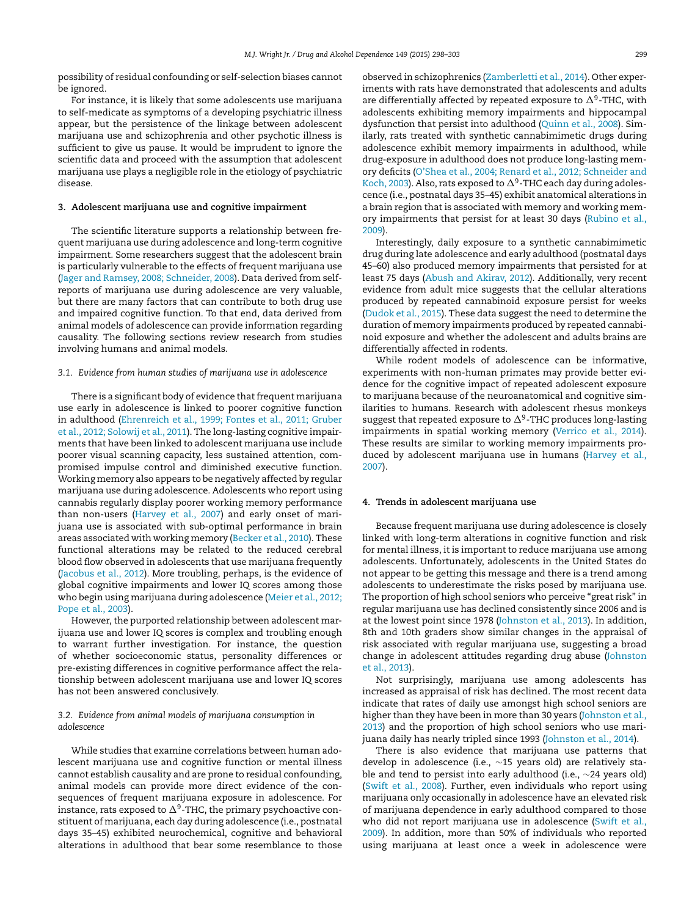possibility of residual confounding or self-selection biases cannot be ignored.

For instance, it is likely that some adolescents use marijuana to self-medicate as symptoms of a developing psychiatric illness appear, but the persistence of the linkage between adolescent marijuana use and schizophrenia and other psychotic illness is sufficient to give us pause. It would be imprudent to ignore the scientific data and proceed with the assumption that adolescent marijuana use plays a negligible role in the etiology of psychiatric disease.

#### **3. Adolescent marijuana use and cognitive impairment**

The scientific literature supports a relationship between frequent marijuana use during adolescence and long-term cognitive impairment. Some researchers suggest that the adolescent brain is particularly vulnerable to the effects of frequent marijuana use [\(Jager and Ramsey, 2008; Schneider, 2008\).](#page-4-0) Data derived from selfreports of marijuana use during adolescence are very valuable, but there are many factors that can contribute to both drug use and impaired cognitive function. To that end, data derived from animal models of adolescence can provide information regarding causality. The following sections review research from studies involving humans and animal models.

#### *3.1. Evidence from human studies of marijuana use in adolescence*

There is a significant body of evidence that frequent marijuana use early in adolescence is linked to poorer cognitive function in adulthood ([Ehrenreich et al., 1999; Fontes et al., 2011; Gruber](#page-4-0) [et al., 2012; Solowij et al., 2011\).](#page-4-0) The long-lasting cognitive impairments that have been linked to adolescent marijuana use include poorer visual scanning capacity, less sustained attention, compromised impulse control and diminished executive function. Working memory also appears to be negatively affected by regular marijuana use during adolescence. Adolescents who report using cannabis regularly display poorer working memory performance than non-users ([Harvey et al., 2007\)](#page-4-0) and early onset of marijuana use is associated with sub-optimal performance in brain areas associated with working memory [\(Becker et al., 2010\).](#page-3-0) These functional alterations may be related to the reduced cerebral blood flow observed in adolescents that use marijuana frequently [\(Jacobus et al., 2012\).](#page-4-0) More troubling, perhaps, is the evidence of global cognitive impairments and lower IQ scores among those who begin using marijuana during adolescence [\(Meier et al., 2012;](#page-4-0) [Pope et al., 2003\).](#page-4-0)

However, the purported relationship between adolescent marijuana use and lower IQ scores is complex and troubling enough to warrant further investigation. For instance, the question of whether socioeconomic status, personality differences or pre-existing differences in cognitive performance affect the relationship between adolescent marijuana use and lower IQ scores has not been answered conclusively.

### *3.2. Evidence from animal models of marijuana consumption in adolescence*

While studies that examine correlations between human adolescent marijuana use and cognitive function or mental illness cannot establish causality and are prone to residual confounding, animal models can provide more direct evidence of the consequences of frequent marijuana exposure in adolescence. For instance, rats exposed to  $\Delta^9$ -THC, the primary psychoactive constituent of marijuana, each day during adolescence (i.e., postnatal days 35–45) exhibited neurochemical, cognitive and behavioral alterations in adulthood that bear some resemblance to those observed in schizophrenics [\(Zamberletti et al., 2014\).](#page-5-0) Other experiments with rats have demonstrated that adolescents and adults are differentially affected by repeated exposure to  $\Delta^9$ -THC, with adolescents exhibiting memory impairments and hippocampal dysfunction that persist into adulthood ([Quinn et al., 2008\).](#page-5-0) Similarly, rats treated with synthetic cannabimimetic drugs during adolescence exhibit memory impairments in adulthood, while drug-exposure in adulthood does not produce long-lasting memory deficits [\(O'Shea et al., 2004; Renard et al., 2012; Schneider and](#page-5-0) [Koch, 2003\).](#page-5-0) Also, rats exposed to  $\Delta^9$ -THC each day during adolescence (i.e., postnatal days 35–45) exhibit anatomical alterations in a brain region that is associated with memory and working memory impairments that persist for at least 30 days [\(Rubino et al.,](#page-5-0) [2009\).](#page-5-0)

Interestingly, daily exposure to a synthetic cannabimimetic drug during late adolescence and early adulthood (postnatal days 45–60) also produced memory impairments that persisted for at least 75 days ([Abush and Akirav, 2012\).](#page-3-0) Additionally, very recent evidence from adult mice suggests that the cellular alterations produced by repeated cannabinoid exposure persist for weeks ([Dudok et al., 2015\).](#page-4-0) These data suggest the need to determine the duration of memory impairments produced by repeated cannabinoid exposure and whether the adolescent and adults brains are differentially affected in rodents.

While rodent models of adolescence can be informative, experiments with non-human primates may provide better evidence for the cognitive impact of repeated adolescent exposure to marijuana because of the neuroanatomical and cognitive similarities to humans. Research with adolescent rhesus monkeys suggest that repeated exposure to  $\Delta^9$ -THC produces long-lasting impairments in spatial working memory [\(Verrico et al., 2014\).](#page-5-0) These results are similar to working memory impairments produced by adolescent marijuana use in humans ([Harvey et al.,](#page-4-0) [2007\).](#page-4-0)

#### **4. Trends in adolescent marijuana use**

Because frequent marijuana use during adolescence is closely linked with long-term alterations in cognitive function and risk for mental illness, it is important to reduce marijuana use among adolescents. Unfortunately, adolescents in the United States do not appear to be getting this message and there is a trend among adolescents to underestimate the risks posed by marijuana use. The proportion of high school seniors who perceive "great risk" in regular marijuana use has declined consistently since 2006 and is at the lowest point since 1978 [\(Johnston et al., 2013\).](#page-4-0) In addition, 8th and 10th graders show similar changes in the appraisal of risk associated with regular marijuana use, suggesting a broad change in adolescent attitudes regarding drug abuse ([Johnston](#page-4-0) [et al., 2013\).](#page-4-0)

Not surprisingly, marijuana use among adolescents has increased as appraisal of risk has declined. The most recent data indicate that rates of daily use amongst high school seniors are higher than they have been in more than 30 years [\(Johnston et al.,](#page-4-0) [2013\)](#page-4-0) and the proportion of high school seniors who use marijuana daily has nearly tripled since 1993 [\(Johnston et al., 2014\).](#page-4-0)

There is also evidence that marijuana use patterns that develop in adolescence (i.e., ∼15 years old) are relatively stable and tend to persist into early adulthood (i.e., ∼24 years old) ([Swift et al., 2008\).](#page-5-0) Further, even individuals who report using marijuana only occasionally in adolescence have an elevated risk of marijuana dependence in early adulthood compared to those who did not report marijuana use in adolescence ([Swift et al.,](#page-5-0) [2009\).](#page-5-0) In addition, more than 50% of individuals who reported using marijuana at least once a week in adolescence were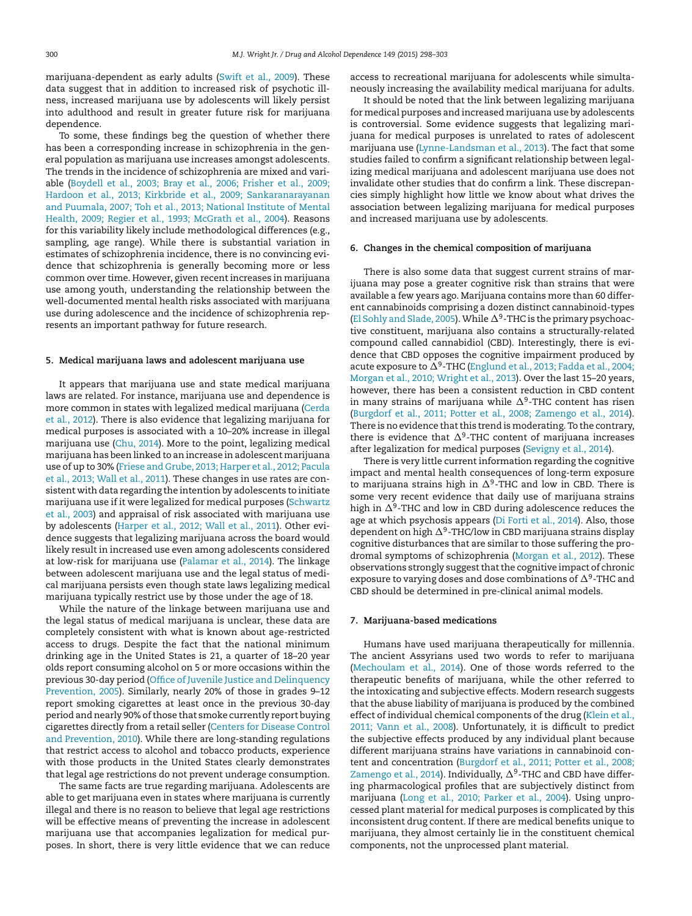marijuana-dependent as early adults [\(Swift et al., 2009\).](#page-5-0) These data suggest that in addition to increased risk of psychotic illness, increased marijuana use by adolescents will likely persist into adulthood and result in greater future risk for marijuana dependence.

To some, these findings beg the question of whether there has been a corresponding increase in schizophrenia in the general population as marijuana use increases amongst adolescents. The trends in the incidence of schizophrenia are mixed and variable [\(Boydell et al., 2003; Bray et al., 2006; Frisher et al., 2009;](#page-4-0) [Hardoon et al., 2013; Kirkbride et al., 2009; Sankaranarayanan](#page-4-0) [and Puumala, 2007; Toh et al., 2013; National Institute of Mental](#page-4-0) [Health, 2009; Regier et al., 1993; McGrath et al., 2004\).](#page-4-0) Reasons for this variability likely include methodological differences (e.g., sampling, age range). While there is substantial variation in estimates of schizophrenia incidence, there is no convincing evidence that schizophrenia is generally becoming more or less common over time. However, given recent increases in marijuana use among youth, understanding the relationship between the well-documented mental health risks associated with marijuana use during adolescence and the incidence of schizophrenia represents an important pathway for future research.

#### **5. Medical marijuana laws and adolescent marijuana use**

It appears that marijuana use and state medical marijuana laws are related. For instance, marijuana use and dependence is more common in states with legalized medical marijuana ([Cerda](#page-4-0) [et al., 2012\).](#page-4-0) There is also evidence that legalizing marijuana for medical purposes is associated with a 10–20% increase in illegal marijuana use ([Chu, 2014\).](#page-4-0) More to the point, legalizing medical marijuana has been linked to an increase in adolescent marijuana use of up to 30% ([Friese and Grube, 2013; Harper et al., 2012; Pacula](#page-4-0) [et al., 2013; Wall et al., 2011\).](#page-4-0) These changes in use rates are consistent with data regarding the intention by adolescents to initiate marijuana use if it were legalized for medical purposes [\(Schwartz](#page-5-0) [et al., 2003\) a](#page-5-0)nd appraisal of risk associated with marijuana use by adolescents ([Harper et al., 2012; Wall et al., 2011\).](#page-4-0) Other evidence suggests that legalizing marijuana across the board would likely result in increased use even among adolescents considered at low-risk for marijuana use ([Palamar et al., 2014\).](#page-5-0) The linkage between adolescent marijuana use and the legal status of medical marijuana persists even though state laws legalizing medical marijuana typically restrict use by those under the age of 18.

While the nature of the linkage between marijuana use and the legal status of medical marijuana is unclear, these data are completely consistent with what is known about age-restricted access to drugs. Despite the fact that the national minimum drinking age in the United States is 21, a quarter of 18–20 year olds report consuming alcohol on 5 or more occasions within the previous 30-day period ([Office of Juvenile Justice and Delinquency](#page-5-0) [Prevention, 2005\).](#page-5-0) Similarly, nearly 20% of those in grades 9–12 report smoking cigarettes at least once in the previous 30-day period and nearly 90% of those that smoke currently report buying cigarettes directly from a retail seller ([Centers for Disease Control](#page-4-0) [and Prevention, 2010\).](#page-4-0) While there are long-standing regulations that restrict access to alcohol and tobacco products, experience with those products in the United States clearly demonstrates that legal age restrictions do not prevent underage consumption.

The same facts are true regarding marijuana. Adolescents are able to get marijuana even in states where marijuana is currently illegal and there is no reason to believe that legal age restrictions will be effective means of preventing the increase in adolescent marijuana use that accompanies legalization for medical purposes. In short, there is very little evidence that we can reduce

access to recreational marijuana for adolescents while simultaneously increasing the availability medical marijuana for adults.

It should be noted that the link between legalizing marijuana for medical purposes and increased marijuana use by adolescents is controversial. Some evidence suggests that legalizing marijuana for medical purposes is unrelated to rates of adolescent marijuana use [\(Lynne-Landsman et al., 2013\).](#page-4-0) The fact that some studies failed to confirm a significant relationship between legalizing medical marijuana and adolescent marijuana use does not invalidate other studies that do confirm a link. These discrepancies simply highlight how little we know about what drives the association between legalizing marijuana for medical purposes and increased marijuana use by adolescents.

#### **6. Changes in the chemical composition of marijuana**

There is also some data that suggest current strains of marijuana may pose a greater cognitive risk than strains that were available a few years ago. Marijuana contains more than 60 different cannabinoids comprising a dozen distinct cannabinoid-types ([El Sohly and Slade, 2005\).](#page-4-0) While  $\Delta^9$ -THC is the primary psychoactive constituent, marijuana also contains a structurally-related compound called cannabidiol (CBD). Interestingly, there is evidence that CBD opposes the cognitive impairment produced by acute exposure to  $\Delta^9$ -THC [\(Englund et al., 2013; Fadda et al., 2004;](#page-4-0) [Morgan et al., 2010; Wright et al., 2013\).](#page-4-0) Over the last 15–20 years, however, there has been a consistent reduction in CBD content in many strains of marijuana while  $\Delta^9\text{-}\text{THC}$  content has risen ([Burgdorf et al., 2011; Potter et al., 2008; Zamengo et al., 2014\).](#page-4-0) There is no evidence that this trend is moderating. To the contrary, there is evidence that  $\Delta^9\text{-THC}$  content of marijuana increases after legalization for medical purposes ([Sevigny et al., 2014\).](#page-5-0)

There is very little current information regarding the cognitive impact and mental health consequences of long-term exposure to marijuana strains high in  $\Delta^9\text{-}\text{THC}$  and low in CBD. There is some very recent evidence that daily use of marijuana strains high in  $\Delta^9$ -THC and low in CBD during adolescence reduces the age at which psychosis appears [\(Di Forti et al., 2014\).](#page-4-0) Also, those dependent on high  $\Delta^9$ -THC/low in CBD marijuana strains display cognitive disturbances that are similar to those suffering the prodromal symptoms of schizophrenia [\(Morgan et al., 2012\).](#page-5-0) These observations strongly suggest that the cognitive impact of chronic exposure to varying doses and dose combinations of  $\Delta^9$ -THC and CBD should be determined in pre-clinical animal models.

#### **7. Marijuana-based medications**

Humans have used marijuana therapeutically for millennia. The ancient Assyrians used two words to refer to marijuana ([Mechoulam et al., 2014\).](#page-4-0) One of those words referred to the therapeutic benefits of marijuana, while the other referred to the intoxicating and subjective effects. Modern research suggests that the abuse liability of marijuana is produced by the combined effect of individual chemical components of the drug [\(Klein et al.,](#page-4-0) [2011; Vann et al., 2008\).](#page-4-0) Unfortunately, it is difficult to predict the subjective effects produced by any individual plant because different marijuana strains have variations in cannabinoid content and concentration ([Burgdorf et al., 2011; Potter et al., 2008;](#page-4-0) [Zamengo et al., 2014\).](#page-4-0) Individually,  $\Delta^9$ -THC and CBD have differing pharmacological profiles that are subjectively distinct from marijuana [\(Long et al., 2010; Parker et al., 2004\).](#page-4-0) Using unprocessed plant material for medical purposes is complicated by this inconsistent drug content. If there are medical benefits unique to marijuana, they almost certainly lie in the constituent chemical components, not the unprocessed plant material.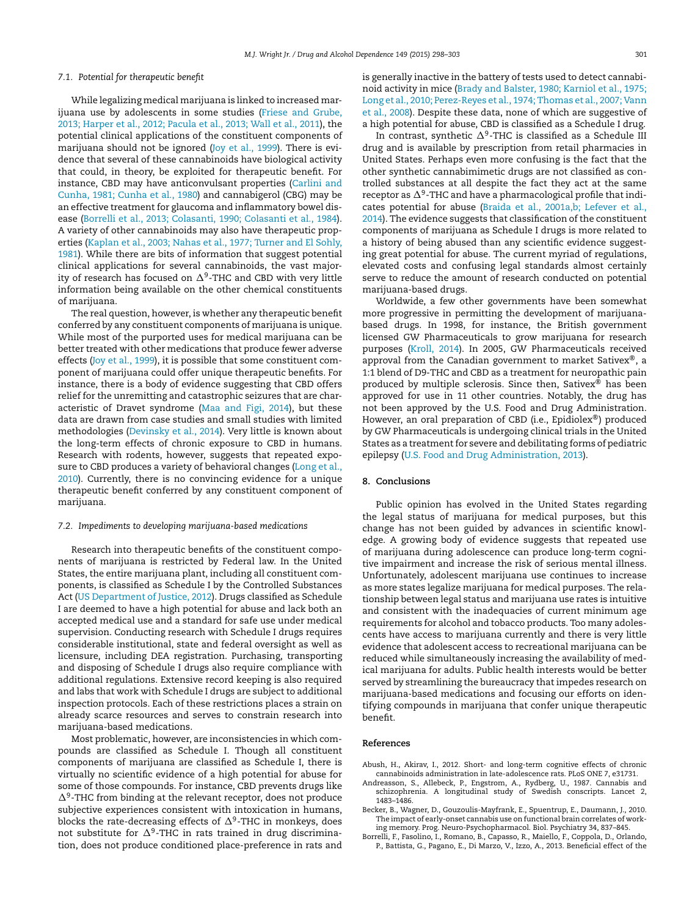#### <span id="page-3-0"></span>*7.1. Potential for therapeutic benefit*

While legalizing medical marijuana is linked to increased marijuana use by adolescents in some studies [\(Friese and Grube,](#page-4-0) [2013; Harper et al., 2012; Pacula et al., 2013; Wall et al., 2011\),](#page-4-0) the potential clinical applications of the constituent components of marijuana should not be ignored ([Joy et al., 1999\).](#page-4-0) There is evidence that several of these cannabinoids have biological activity that could, in theory, be exploited for therapeutic benefit. For instance, CBD may have anticonvulsant properties ([Carlini and](#page-4-0) [Cunha, 1981; Cunha et al., 1980\)](#page-4-0) and cannabigerol (CBG) may be an effective treatment for glaucoma and inflammatory bowel disease (Borrelli et al., 2013; Colasanti, 1990; Colasanti et al., 1984). A variety of other cannabinoids may also have therapeutic properties [\(Kaplan et al., 2003; Nahas et al., 1977; Turner and El Sohly,](#page-4-0) [1981\).](#page-4-0) While there are bits of information that suggest potential clinical applications for several cannabinoids, the vast majority of research has focused on  $\Delta^9\text{-}\text{THC}$  and CBD with very little information being available on the other chemical constituents of marijuana.

The real question, however, is whether any therapeutic benefit conferred by any constituent components of marijuana is unique. While most of the purported uses for medical marijuana can be better treated with other medications that produce fewer adverse effects [\(Joy et al., 1999\),](#page-4-0) it is possible that some constituent component of marijuana could offer unique therapeutic benefits. For instance, there is a body of evidence suggesting that CBD offers relief for the unremitting and catastrophic seizures that are characteristic of Dravet syndrome ([Maa and Figi, 2014\),](#page-4-0) but these data are drawn from case studies and small studies with limited methodologies ([Devinsky et al., 2014\).](#page-4-0) Very little is known about the long-term effects of chronic exposure to CBD in humans. Research with rodents, however, suggests that repeated exposure to CBD produces a variety of behavioral changes [\(Long et al.,](#page-4-0) [2010\).](#page-4-0) Currently, there is no convincing evidence for a unique therapeutic benefit conferred by any constituent component of marijuana.

#### *7.2. Impediments to developing marijuana-based medications*

Research into therapeutic benefits of the constituent components of marijuana is restricted by Federal law. In the United States, the entire marijuana plant, including all constituent components, is classified as Schedule I by the Controlled Substances Act [\(US Department of Justice, 2012\).](#page-5-0) Drugs classified as Schedule I are deemed to have a high potential for abuse and lack both an accepted medical use and a standard for safe use under medical supervision. Conducting research with Schedule I drugs requires considerable institutional, state and federal oversight as well as licensure, including DEA registration. Purchasing, transporting and disposing of Schedule I drugs also require compliance with additional regulations. Extensive record keeping is also required and labs that work with Schedule I drugs are subject to additional inspection protocols. Each of these restrictions places a strain on already scarce resources and serves to constrain research into marijuana-based medications.

Most problematic, however, are inconsistencies in which compounds are classified as Schedule I. Though all constituent components of marijuana are classified as Schedule I, there is virtually no scientific evidence of a high potential for abuse for some of those compounds. For instance, CBD prevents drugs like  $\Delta^9$ -THC from binding at the relevant receptor, does not produce subjective experiences consistent with intoxication in humans, blocks the rate-decreasing effects of  $\Delta^9\text{-THC}$  in monkeys, does not substitute for  $\Delta^9\text{-}\text{THC}$  in rats trained in drug discrimination, does not produce conditioned place-preference in rats and

is generally inactive in the battery of tests used to detect cannabinoid activity in mice [\(Brady and Balster, 1980; Karniol et al., 1975;](#page-4-0) [Long et al., 2010; Perez-Reyes et al., 1974; Thomas et al., 2007; Vann](#page-4-0) [et al., 2008\).](#page-4-0) Despite these data, none of which are suggestive of a high potential for abuse, CBD is classified as a Schedule I drug.

In contrast, synthetic  $\Delta^9$ -THC is classified as a Schedule III drug and is available by prescription from retail pharmacies in United States. Perhaps even more confusing is the fact that the other synthetic cannabimimetic drugs are not classified as controlled substances at all despite the fact they act at the same receptor as  $\Delta^9$ -THC and have a pharmacological profile that indicates potential for abuse ([Braida et al., 2001a,b; Lefever et al.,](#page-4-0) [2014\).](#page-4-0) The evidence suggests that classification of the constituent components of marijuana as Schedule I drugs is more related to a history of being abused than any scientific evidence suggesting great potential for abuse. The current myriad of regulations, elevated costs and confusing legal standards almost certainly serve to reduce the amount of research conducted on potential marijuana-based drugs.

Worldwide, a few other governments have been somewhat more progressive in permitting the development of marijuanabased drugs. In 1998, for instance, the British government licensed GW Pharmaceuticals to grow marijuana for research purposes ([Kroll, 2014\).](#page-4-0) In 2005, GW Pharmaceuticals received approval from the Canadian government to market Sativex®, a 1:1 blend of D9-THC and CBD as a treatment for neuropathic pain produced by multiple sclerosis. Since then, Sativex® has been approved for use in 11 other countries. Notably, the drug has not been approved by the U.S. Food and Drug Administration. However, an oral preparation of CBD (i.e., Epidiolex®) produced by GW Pharmaceuticals is undergoing clinical trials in the United States as a treatment for severe and debilitating forms of pediatric epilepsy [\(U.S. Food and Drug Administration, 2013\).](#page-5-0)

#### **8. Conclusions**

Public opinion has evolved in the United States regarding the legal status of marijuana for medical purposes, but this change has not been guided by advances in scientific knowledge. A growing body of evidence suggests that repeated use of marijuana during adolescence can produce long-term cognitive impairment and increase the risk of serious mental illness. Unfortunately, adolescent marijuana use continues to increase as more states legalize marijuana for medical purposes. The relationship between legal status and marijuana use rates is intuitive and consistent with the inadequacies of current minimum age requirements for alcohol and tobacco products. Too many adolescents have access to marijuana currently and there is very little evidence that adolescent access to recreational marijuana can be reduced while simultaneously increasing the availability of medical marijuana for adults. Public health interests would be better served by streamlining the bureaucracy that impedes research on marijuana-based medications and focusing our efforts on identifying compounds in marijuana that confer unique therapeutic benefit.

## **References**

- Abush, H., Akirav, I., 2012. Short- and long-term cognitive effects of chronic cannabinoids administration in late-adolescence rats. PLoS ONE 7, e31731.
- Andreasson, S., Allebeck, P., Engstrom, A., Rydberg, U., 1987. Cannabis and schizophrenia. A longitudinal study of Swedish conscripts. Lancet 2, 1483–1486.
- Becker, B., Wagner, D., Gouzoulis-Mayfrank, E., Spuentrup, E., Daumann, J., 2010. The impact of early-onset cannabis use on functional brain correlates of working memory. Prog. Neuro-Psychopharmacol. Biol. Psychiatry 34, 837–845.
- Borrelli, F., Fasolino, I., Romano, B., Capasso, R., Maiello, F., Coppola, D., Orlando, P., Battista, G., Pagano, E., Di Marzo, V., Izzo, A., 2013. Beneficial effect of the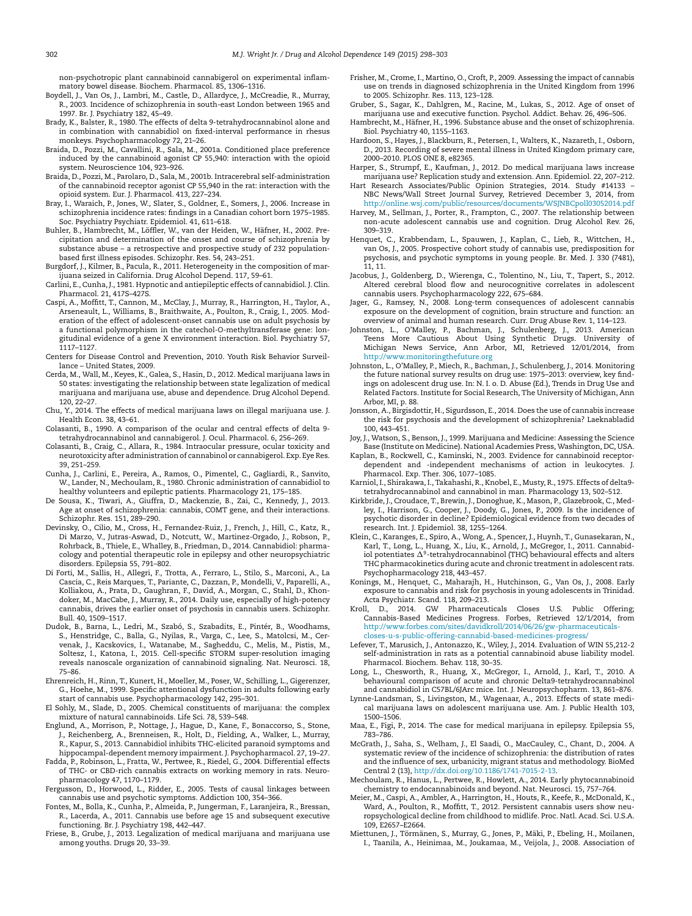<span id="page-4-0"></span>non-psychotropic plant cannabinoid cannabigerol on experimental inflammatory bowel disease. Biochem. Pharmacol. 85, 1306–1316.

- Boydell, J., Van Os, J., Lambri, M., Castle, D., Allardyce, J., McCreadie, R., Murray, R., 2003. Incidence of schizophrenia in south-east London between 1965 and 1997. Br. J. Psychiatry 182, 45–49.
- Brady, K., Balster, R., 1980. The effects of delta 9-tetrahydrocannabinol alone and in combination with cannabidiol on fixed-interval performance in rhesus monkeys. Psychopharmacology 72, 21–26.
- Braida, D., Pozzi, M., Cavallini, R., Sala, M., 2001a. Conditioned place preference induced by the cannabinoid agonist CP 55,940: interaction with the opioid system. Neuroscience 104, 923–926.
- Braida, D., Pozzi, M., Parolaro, D., Sala, M., 2001b. Intracerebral self-administration of the cannabinoid receptor agonist CP 55,940 in the rat: interaction with the opioid system. Eur. J. Pharmacol. 413, 227–234.
- Bray, I., Waraich, P., Jones, W., Slater, S., Goldner, E., Somers, J., 2006. Increase in schizophrenia incidence rates: findings in a Canadian cohort born 1975–1985. Soc. Psychiatry Psychiatr. Epidemiol. 41, 611–618.
- Buhler, B., Hambrecht, M., Löffler, W., van der Heiden, W., Häfner, H., 2002. Precipitation and determination of the onset and course of schizophrenia by substance abuse – a retrospective and prospective study of 232 populationbased first illness episodes. Schizophr. Res. 54, 243–251.
- Burgdorf, J., Kilmer, B., Pacula, R., 2011. Heterogeneity in the composition of marijuana seized in California. Drug Alcohol Depend. 117, 59–61.
- Carlini, E., Cunha, J., 1981. Hypnotic and antiepileptic effects of cannabidiol. J. Clin. Pharmacol. 21, 417S–427S.
- Caspi, A., Moffitt, T., Cannon, M., McClay, J., Murray, R., Harrington, H., Taylor, A., Arseneault, L., Williams, B., Braithwaite, A., Poulton, R., Craig, I., 2005. Moderation of the effect of adolescent-onset cannabis use on adult psychosis by a functional polymorphism in the catechol-O-methyltransferase gene: longitudinal evidence of a gene X environment interaction. Biol. Psychiatry 57, 1117–1127.
- Centers for Disease Control and Prevention, 2010. Youth Risk Behavior Surveillance – United States, 2009.
- Cerda, M., Wall, M., Keyes, K., Galea, S., Hasin, D., 2012. Medical marijuana laws in 50 states: investigating the relationship between state legalization of medical marijuana and marijuana use, abuse and dependence. Drug Alcohol Depend. 120, 22–27.
- Chu, Y., 2014. The effects of medical marijuana laws on illegal marijuana use. J. Health Econ. 38, 43–61.
- Colasanti, B., 1990. A comparison of the ocular and central effects of delta 9 tetrahydrocannabinol and cannabigerol. J. Ocul. Pharmacol. 6, 256–269.
- Colasanti, B., Craig, C., Allara, R., 1984. Intraocular pressure, ocular toxicity and neurotoxicity after administration of cannabinol or cannabigerol. Exp. Eye Res. 39, 251–259.
- Cunha, J., Carlini, E., Pereira, A., Ramos, O., Pimentel, C., Gagliardi, R., Sanvito, W., Lander, N., Mechoulam, R., 1980. Chronic administration of cannabidiol to healthy volunteers and epileptic patients. Pharmacology 21, 175–185.
- De Sousa, K., Tiwari, A., Giuffra, D., Mackenzie, B., Zai, C., Kennedy, J., 2013. Age at onset of schizophrenia: cannabis, COMT gene, and their interactions. Schizophr. Res. 151, 289–290.
- Devinsky, O., Cilio, M., Cross, H., Fernandez-Ruiz, J., French, J., Hill, C., Katz, R., Di Marzo, V., Jutras-Aswad, D., Notcutt, W., Martinez-Orgado, J., Robson, P., Rohrback, B., Thiele, E., Whalley, B., Friedman, D., 2014. Cannabidiol: pharmacology and potential therapeutic role in epilepsy and other neuropsychiatric disorders. Epilepsia 55, 791–802.
- Di Forti, M., Sallis, H., Allegri, F., Trotta, A., Ferraro, L., Stilo, S., Marconi, A., La Cascia, C., Reis Marques, T., Pariante, C., Dazzan, P., Mondelli, V., Paparelli, A., Kolliakou, A., Prata, D., Gaughran, F., David, A., Morgan, C., Stahl, D., Khondoker, M., MacCabe, J., Murray, R., 2014. Daily use, especially of high-potency cannabis, drives the earlier onset of psychosis in cannabis users. Schizophr. Bull. 40, 1509–1517.
- Dudok, B., Barna, L., Ledri, M., Szabó, S., Szabadits, E., Pintér, B., Woodhams, S., Henstridge, C., Balla, G., Nyilas, R., Varga, C., Lee, S., Matolcsi, M., Cervenak, J., Kacskovics, I., Watanabe, M., Sagheddu, C., Melis, M., Pistis, M., Soltesz, I., Katona, I., 2015. Cell-specific STORM super-resolution imaging reveals nanoscale organization of cannabinoid signaling. Nat. Neurosci. 18, 75–86.
- Ehrenreich, H., Rinn, T., Kunert, H., Moeller, M., Poser, W., Schilling, L., Gigerenzer, G., Hoehe, M., 1999. Specific attentional dysfunction in adults following early start of cannabis use. Psychopharmacology 142, 295–301.
- El Sohly, M., Slade, D., 2005. Chemical constituents of marijuana: the complex mixture of natural cannabinoids. Life Sci. 78, 539–548.
- Englund, A., Morrison, P., Nottage, J., Hague, D., Kane, F., Bonaccorso, S., Stone, J., Reichenberg, A., Brenneisen, R., Holt, D., Fielding, A., Walker, L., Murray, R., Kapur, S., 2013. Cannabidiol inhibits THC-elicited paranoid symptoms and hippocampal-dependent memory impairment. J. Psychopharmacol. 27, 19–27.
- Fadda, P., Robinson, L., Fratta, W., Pertwee, R., Riedel, G., 2004. Differential effects of THC- or CBD-rich cannabis extracts on working memory in rats. Neuropharmacology 47, 1170–1179.
- Fergusson, D., Horwood, L., Ridder, E., 2005. Tests of causal linkages between cannabis use and psychotic symptoms. Addiction 100, 354–366.
- Fontes, M., Bolla, K., Cunha, P., Almeida, P., Jungerman, F., Laranjeira, R., Bressan, R., Lacerda, A., 2011. Cannabis use before age 15 and subsequent executive functioning. Br. J. Psychiatry 198, 442–447.
- Friese, B., Grube, J., 2013. Legalization of medical marijuana and marijuana use among youths. Drugs 20, 33–39.
- Frisher, M., Crome, I., Martino, O., Croft, P., 2009. Assessing the impact of cannabis use on trends in diagnosed schizophrenia in the United Kingdom from 1996 to 2005. Schizophr. Res. 113, 123–128.
- Gruber, S., Sagar, K., Dahlgren, M., Racine, M., Lukas, S., 2012. Age of onset of marijuana use and executive function. Psychol. Addict. Behav. 26, 496–506.
- Hambrecht, M., Häfner, H., 1996. Substance abuse and the onset of schizophrenia. Biol. Psychiatry 40, 1155–1163.
- Hardoon, S., Hayes, J., Blackburn, R., Petersen, I., Walters, K., Nazareth, I., Osborn, D., 2013. Recording of severe mental illness in United Kingdom primary care, 2000–2010. PLOS ONE 8, e82365.
- Harper, S., Strumpf, E., Kaufman, J., 2012. Do medical marijuana laws increase marijuana use? Replication study and extension. Ann. Epidemiol. 22, 207–212.
- Hart Research Associates/Public Opinion Strategies, 2014. Study #14133 NBC News/Wall Street Journal Survey, Retrieved December 3, 2014, from <http://online.wsj.com/public/resources/documents/WSJNBCpoll03052014.pdf>
- Harvey, M., Sellman, J., Porter, R., Frampton, C., 2007. The relationship between non-acute adolescent cannabis use and cognition. Drug Alcohol Rev. 26, 309–319.
- Henquet, C., Krabbendam, L., Spauwen, J., Kaplan, C., Lieb, R., Wittchen, H., van Os, J., 2005. Prospective cohort study of cannabis use, predisposition for psychosis, and psychotic symptoms in young people. Br. Med. J. 330 (7481), 11, 11.
- Jacobus, J., Goldenberg, D., Wierenga, C., Tolentino, N., Liu, T., Tapert, S., 2012. Altered cerebral blood flow and neurocognitive correlates in adolescent cannabis users. Psychopharmacology 222, 675–684.
- Jager, G., Ramsey, N., 2008. Long-term consequences of adolescent cannabis exposure on the development of cognition, brain structure and function: an overview of animal and human research. Curr. Drug Abuse Rev. 1, 114–123.
- Johnston, L., O'Malley, P., Bachman, J., Schulenberg, J., 2013. American Teens More Cautious About Using Synthetic Drugs. University of Michigan News Service, Ann Arbor, MI, Retrieved 12/01/2014, from [http://www.monitoringthefuture.org](http://www.monitoringthefuture.org/)
- Johnston, L., O'Malley, P., Miech, R., Bachman, J., Schulenberg, J., 2014. Monitoring the future national survey results on drug use: 1975–2013: overview, key findings on adolescent drug use. In: N. I. o. D. Abuse (Ed.), Trends in Drug Use and Related Factors. Institute for Social Research, The University of Michigan, Ann Arbor, MI, p. 88.
- Jonsson, A., Birgisdottir, H., Sigurdsson, E., 2014. Does the use of cannabis increase the risk for psychosis and the development of schizophrenia? Laeknabladid 100, 443–451.
- Joy, J., Watson, S., Benson, J., 1999. Marijuana and Medicine: Assessing the Science Base (Institute on Medicine). National Academies Press, Washington, DC, USA.
- Kaplan, B., Rockwell, C., Kaminski, N., 2003. Evidence for cannabinoid receptordependent and -independent mechanisms of action in leukocytes. J. Pharmacol. Exp. Ther. 306, 1077–1085.
- Karniol, I., Shirakawa, I., Takahashi, R., Knobel, E., Musty, R., 1975. Effects of delta9 tetrahydrocannabinol and cannabinol in man. Pharmacology 13, 502–512.
- Kirkbride, J., Croudace, T., Brewin, J., Donoghue, K., Mason, P., Glazebrook, C., Medley, I., Harrison, G., Cooper, J., Doody, G., Jones, P., 2009. Is the incidence of psychotic disorder in decline? Epidemiological evidence from two decades of research. Int. J. Epidemiol. 38, 1255–1264.
- Klein, C., Karanges, E., Spiro, A., Wong, A., Spencer, J., Huynh, T., Gunasekaran, N., Karl, T., Long, L., Huang, X., Liu, K., Arnold, J., McGregor, I., 2011. Cannabidiol potentiates  $\Delta^9$ -tetrahydrocannabinol (THC) behavioural effects and alters THC pharmacokinetics during acute and chronic treatment in adolescent rats. Psychopharmacology 218, 443–457.
- Konings, M., Henquet, C., Maharajh, H., Hutchinson, G., Van Os, J., 2008. Early exposure to cannabis and risk for psychosis in young adolescents in Trinidad. Acta Psychiatr. Scand. 118, 209–213.
- Kroll, D., 2014. GW Pharmaceuticals Closes U.S. Public Offering; Cannabis-Based Medicines Progress. Forbes, Retrieved 12/1/2014, from [http://www.forbes.com/sites/davidkroll/2014/06/26/gw-pharmaceuticals](http://www.forbes.com/sites/davidkroll/2014/06/26/gw-pharmaceuticals-closes-u-s-public-offering-cannabid-based-medicines-progress/)[closes-u-s-public-offering-cannabid-based-medicines-progress/](http://www.forbes.com/sites/davidkroll/2014/06/26/gw-pharmaceuticals-closes-u-s-public-offering-cannabid-based-medicines-progress/)
- Lefever, T., Marusich, J., Antonazzo, K., Wiley, J., 2014. Evaluation of WIN 55,212-2 self-administration in rats as a potential cannabinoid abuse liability model. Pharmacol. Biochem. Behav. 118, 30–35.
- Long, L., Chesworth, R., Huang, X., McGregor, I., Arnold, J., Karl, T., 2010. A behavioural comparison of acute and chronic Delta9-tetrahydrocannabinol and cannabidiol in C57BL/6JArc mice. Int. J. Neuropsychopharm. 13, 861–876.
- Lynne-Landsman, S., Livingston, M., Wagenaar, A., 2013. Effects of state medical marijuana laws on adolescent marijuana use. Am. J. Public Health 103, 1500–1506.
- Maa, E., Figi, P., 2014. The case for medical marijuana in epilepsy. Epilepsia 55, 783–786.
- McGrath, J., Saha, S., Welham, J., El Saadi, O., MacCauley, C., Chant, D., 2004. A systematic review of the incidence of schizophrenia: the distribution of rates and the influence of sex, urbanicity, migrant status and methodology. BioMed Central 2 (13), [http://dx.doi.org/10.1186/1741-7015-2-13](dx.doi.org/10.1186/1741-7015-2-13).
- Mechoulam, R., Hanus, L., Pertwee, R., Howlett, A., 2014. Early phytocannabinoid chemistry to endocannabinoids and beyond. Nat. Neurosci. 15, 757–764.
- Meier, M., Caspi, A., Ambler, A., Harrington, H., Houts, R., Keefe, R., McDonald, K., Ward, A., Poulton, R., Moffitt, T., 2012. Persistent cannabis users show neuropsychological decline from childhood to midlife. Proc. Natl. Acad. Sci. U.S.A. 109, E2657–E2664.
- Miettunen, J., Törmänen, S., Murray, G., Jones, P., Mäki, P., Ebeling, H., Moilanen, I., Taanila, A., Heinimaa, M., Joukamaa, M., Veijola, J., 2008. Association of